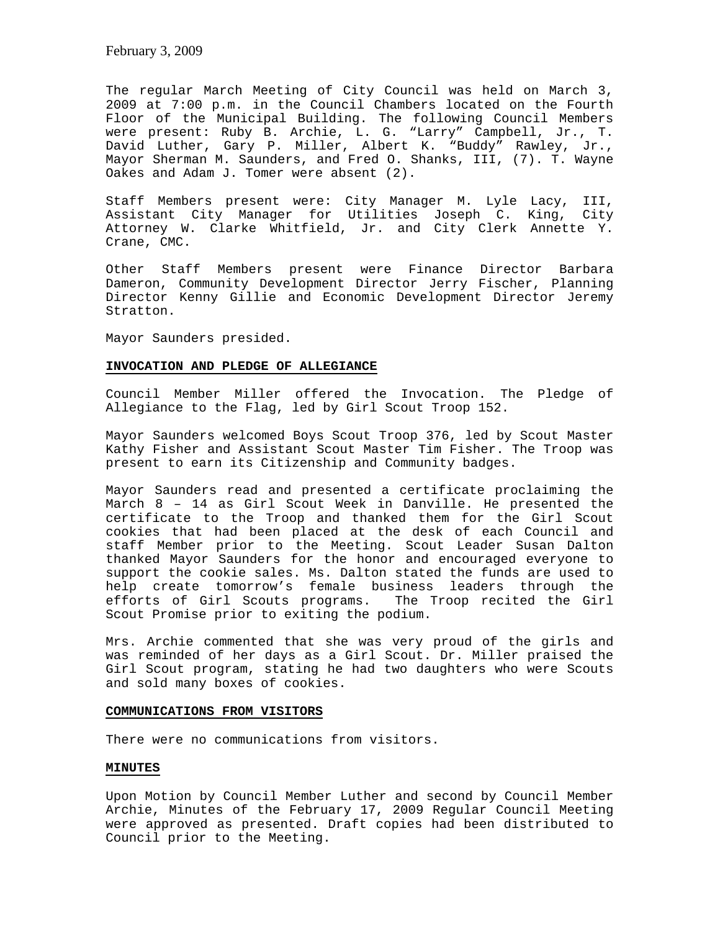The regular March Meeting of City Council was held on March 3, 2009 at 7:00 p.m. in the Council Chambers located on the Fourth Floor of the Municipal Building. The following Council Members were present: Ruby B. Archie, L. G. "Larry" Campbell, Jr., T. David Luther, Gary P. Miller, Albert K. "Buddy" Rawley, Jr., Mayor Sherman M. Saunders, and Fred O. Shanks, III, (7). T. Wayne Oakes and Adam J. Tomer were absent (2).

Staff Members present were: City Manager M. Lyle Lacy, III, Assistant City Manager for Utilities Joseph C. King, City Attorney W. Clarke Whitfield, Jr. and City Clerk Annette Y. Crane, CMC.

Other Staff Members present were Finance Director Barbara Dameron, Community Development Director Jerry Fischer, Planning Director Kenny Gillie and Economic Development Director Jeremy Stratton.

Mayor Saunders presided.

#### **INVOCATION AND PLEDGE OF ALLEGIANCE**

Council Member Miller offered the Invocation. The Pledge of Allegiance to the Flag, led by Girl Scout Troop 152.

Mayor Saunders welcomed Boys Scout Troop 376, led by Scout Master Kathy Fisher and Assistant Scout Master Tim Fisher. The Troop was present to earn its Citizenship and Community badges.

Mayor Saunders read and presented a certificate proclaiming the March 8 – 14 as Girl Scout Week in Danville. He presented the certificate to the Troop and thanked them for the Girl Scout cookies that had been placed at the desk of each Council and staff Member prior to the Meeting. Scout Leader Susan Dalton thanked Mayor Saunders for the honor and encouraged everyone to support the cookie sales. Ms. Dalton stated the funds are used to help create tomorrow's female business leaders through the efforts of Girl Scouts programs. The Troop recited the Girl Scout Promise prior to exiting the podium.

Mrs. Archie commented that she was very proud of the girls and was reminded of her days as a Girl Scout. Dr. Miller praised the Girl Scout program, stating he had two daughters who were Scouts and sold many boxes of cookies.

# **COMMUNICATIONS FROM VISITORS**

There were no communications from visitors.

#### **MINUTES**

Upon Motion by Council Member Luther and second by Council Member Archie, Minutes of the February 17, 2009 Regular Council Meeting were approved as presented. Draft copies had been distributed to Council prior to the Meeting.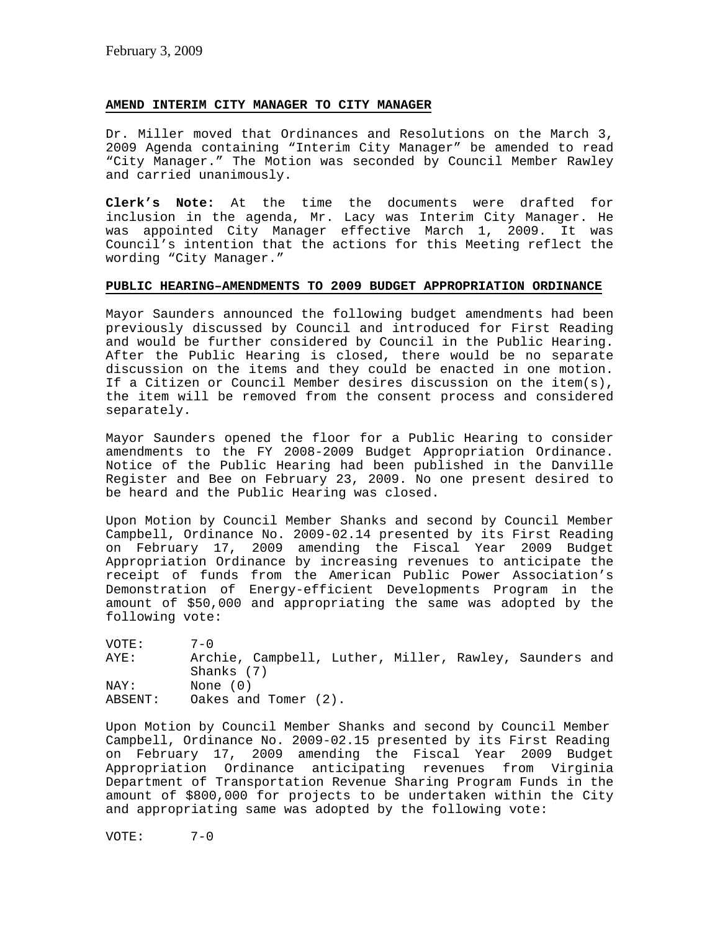# **AMEND INTERIM CITY MANAGER TO CITY MANAGER**

Dr. Miller moved that Ordinances and Resolutions on the March 3, 2009 Agenda containing "Interim City Manager" be amended to read "City Manager." The Motion was seconded by Council Member Rawley and carried unanimously.

**Clerk's Note:** At the time the documents were drafted for inclusion in the agenda, Mr. Lacy was Interim City Manager. He was appointed City Manager effective March 1, 2009. It was Council's intention that the actions for this Meeting reflect the wording "City Manager."

## **PUBLIC HEARING–AMENDMENTS TO 2009 BUDGET APPROPRIATION ORDINANCE**

Mayor Saunders announced the following budget amendments had been previously discussed by Council and introduced for First Reading and would be further considered by Council in the Public Hearing. After the Public Hearing is closed, there would be no separate discussion on the items and they could be enacted in one motion. If a Citizen or Council Member desires discussion on the item(s), the item will be removed from the consent process and considered separately.

Mayor Saunders opened the floor for a Public Hearing to consider amendments to the FY 2008-2009 Budget Appropriation Ordinance. Notice of the Public Hearing had been published in the Danville Register and Bee on February 23, 2009. No one present desired to be heard and the Public Hearing was closed.

Upon Motion by Council Member Shanks and second by Council Member Campbell, Ordinance No. 2009-02.14 presented by its First Reading on February 17, 2009 amending the Fiscal Year 2009 Budget Appropriation Ordinance by increasing revenues to anticipate the receipt of funds from the American Public Power Association's Demonstration of Energy-efficient Developments Program in the amount of \$50,000 and appropriating the same was adopted by the following vote:

| VOTE:   | $7 - 0$                                                |
|---------|--------------------------------------------------------|
| AYE:    | Archie, Campbell, Luther, Miller, Rawley, Saunders and |
|         | Shanks (7)                                             |
| NAY:    | None (0)                                               |
| ABSENT: | Oakes and Tomer (2).                                   |

Upon Motion by Council Member Shanks and second by Council Member Campbell, Ordinance No. 2009-02.15 presented by its First Reading on February 17, 2009 amending the Fiscal Year 2009 Budget Appropriation Ordinance anticipating revenues from Virginia Department of Transportation Revenue Sharing Program Funds in the amount of \$800,000 for projects to be undertaken within the City and appropriating same was adopted by the following vote:

VOTE: 7-0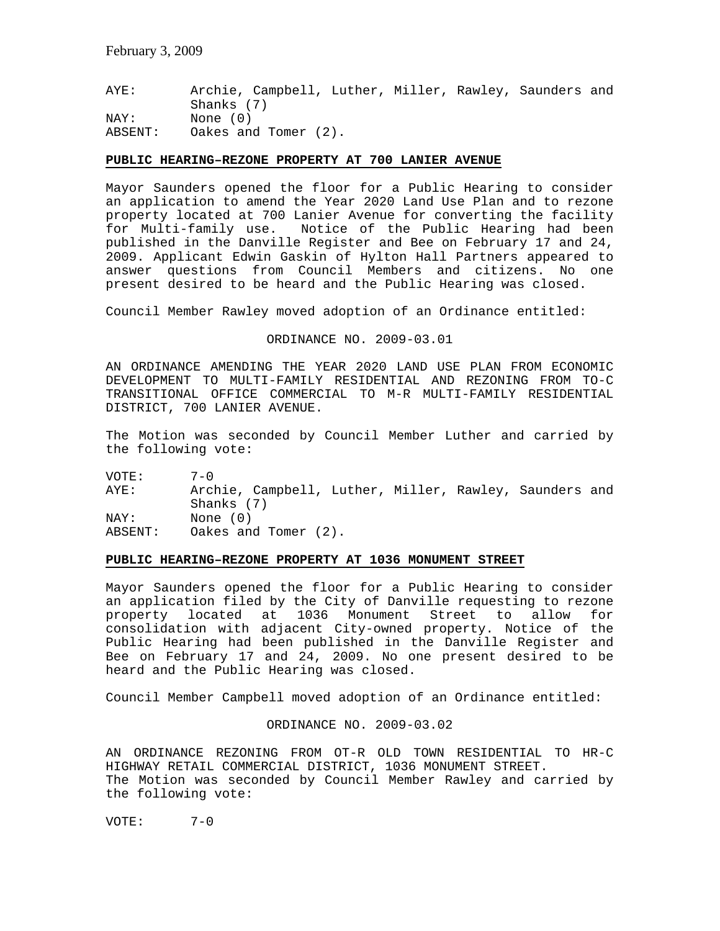AYE: Archie, Campbell, Luther, Miller, Rawley, Saunders and Shanks (7) NAY: None (0) ABSENT: Oakes and Tomer (2).

#### **PUBLIC HEARING–REZONE PROPERTY AT 700 LANIER AVENUE**

Mayor Saunders opened the floor for a Public Hearing to consider an application to amend the Year 2020 Land Use Plan and to rezone property located at 700 Lanier Avenue for converting the facility for Multi-family use. Notice of the Public Hearing had been published in the Danville Register and Bee on February 17 and 24, 2009. Applicant Edwin Gaskin of Hylton Hall Partners appeared to answer questions from Council Members and citizens. No one present desired to be heard and the Public Hearing was closed.

Council Member Rawley moved adoption of an Ordinance entitled:

ORDINANCE NO. 2009-03.01

AN ORDINANCE AMENDING THE YEAR 2020 LAND USE PLAN FROM ECONOMIC DEVELOPMENT TO MULTI-FAMILY RESIDENTIAL AND REZONING FROM TO-C TRANSITIONAL OFFICE COMMERCIAL TO M-R MULTI-FAMILY RESIDENTIAL DISTRICT, 700 LANIER AVENUE.

The Motion was seconded by Council Member Luther and carried by the following vote:

VOTE: 7-0<br>AYE: Arcl Archie, Campbell, Luther, Miller, Rawley, Saunders and Shanks (7) NAY: None (0) ABSENT: Oakes and Tomer (2).

# **PUBLIC HEARING–REZONE PROPERTY AT 1036 MONUMENT STREET**

Mayor Saunders opened the floor for a Public Hearing to consider an application filed by the City of Danville requesting to rezone property located at 1036 Monument Street to allow for consolidation with adjacent City-owned property. Notice of the Public Hearing had been published in the Danville Register and Bee on February 17 and 24, 2009. No one present desired to be heard and the Public Hearing was closed.

Council Member Campbell moved adoption of an Ordinance entitled:

ORDINANCE NO. 2009-03.02

AN ORDINANCE REZONING FROM OT-R OLD TOWN RESIDENTIAL TO HR-C HIGHWAY RETAIL COMMERCIAL DISTRICT, 1036 MONUMENT STREET. The Motion was seconded by Council Member Rawley and carried by the following vote:

VOTE: 7-0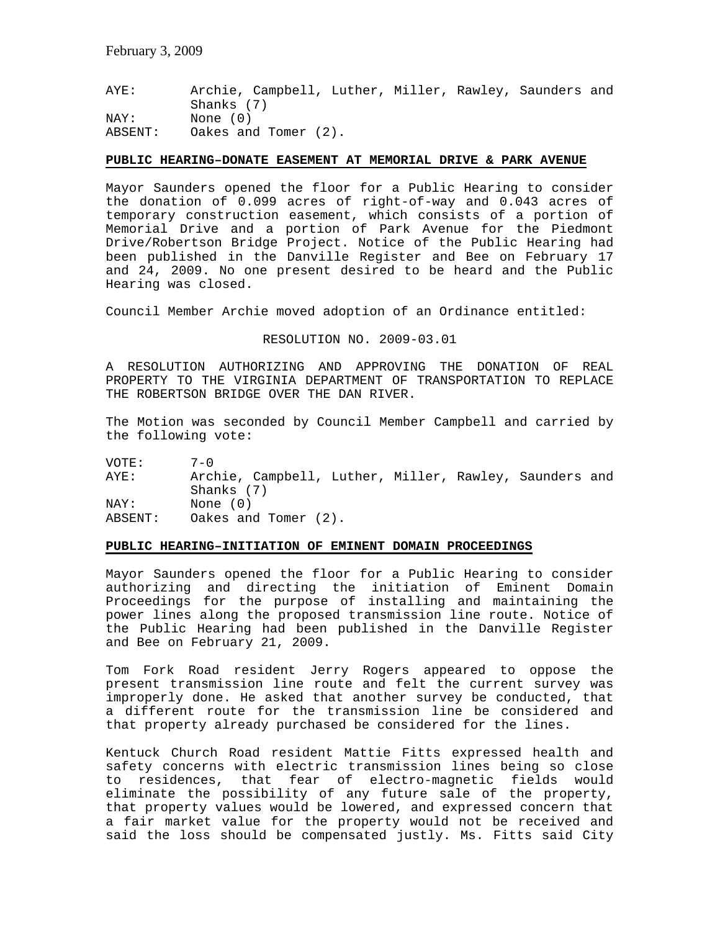AYE: Archie, Campbell, Luther, Miller, Rawley, Saunders and Shanks (7) NAY: None (0) ABSENT: Oakes and Tomer (2).

#### **PUBLIC HEARING–DONATE EASEMENT AT MEMORIAL DRIVE & PARK AVENUE**

Mayor Saunders opened the floor for a Public Hearing to consider the donation of 0.099 acres of right-of-way and 0.043 acres of temporary construction easement, which consists of a portion of Memorial Drive and a portion of Park Avenue for the Piedmont Drive/Robertson Bridge Project. Notice of the Public Hearing had been published in the Danville Register and Bee on February 17 and 24, 2009. No one present desired to be heard and the Public Hearing was closed.

Council Member Archie moved adoption of an Ordinance entitled:

#### RESOLUTION NO. 2009-03.01

A RESOLUTION AUTHORIZING AND APPROVING THE DONATION OF REAL PROPERTY TO THE VIRGINIA DEPARTMENT OF TRANSPORTATION TO REPLACE THE ROBERTSON BRIDGE OVER THE DAN RIVER.

The Motion was seconded by Council Member Campbell and carried by the following vote:

VOTE: 7-0 AYE: Archie, Campbell, Luther, Miller, Rawley, Saunders and Shanks (7) NAY: None (0) ABSENT: Oakes and Tomer (2).

#### **PUBLIC HEARING–INITIATION OF EMINENT DOMAIN PROCEEDINGS**

Mayor Saunders opened the floor for a Public Hearing to consider authorizing and directing the initiation of Eminent Domain Proceedings for the purpose of installing and maintaining the power lines along the proposed transmission line route. Notice of the Public Hearing had been published in the Danville Register and Bee on February 21, 2009.

Tom Fork Road resident Jerry Rogers appeared to oppose the present transmission line route and felt the current survey was improperly done. He asked that another survey be conducted, that a different route for the transmission line be considered and that property already purchased be considered for the lines.

Kentuck Church Road resident Mattie Fitts expressed health and safety concerns with electric transmission lines being so close to residences, that fear of electro-magnetic fields would eliminate the possibility of any future sale of the property, that property values would be lowered, and expressed concern that a fair market value for the property would not be received and said the loss should be compensated justly. Ms. Fitts said City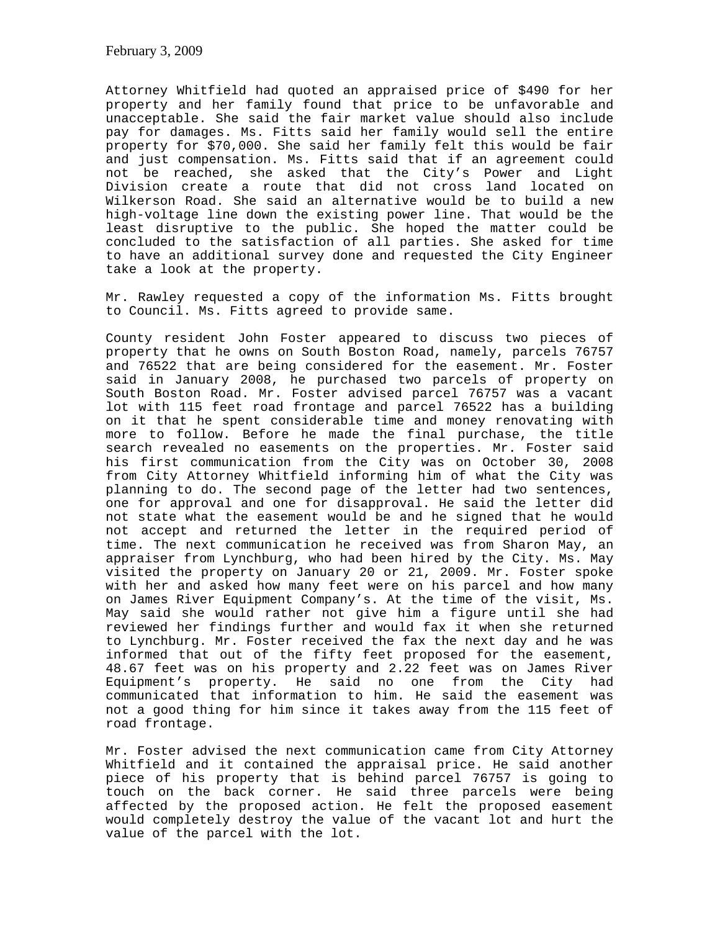Attorney Whitfield had quoted an appraised price of \$490 for her property and her family found that price to be unfavorable and unacceptable. She said the fair market value should also include pay for damages. Ms. Fitts said her family would sell the entire property for \$70,000. She said her family felt this would be fair and just compensation. Ms. Fitts said that if an agreement could not be reached, she asked that the City's Power and Light Division create a route that did not cross land located on Wilkerson Road. She said an alternative would be to build a new high-voltage line down the existing power line. That would be the least disruptive to the public. She hoped the matter could be concluded to the satisfaction of all parties. She asked for time to have an additional survey done and requested the City Engineer take a look at the property.

Mr. Rawley requested a copy of the information Ms. Fitts brought to Council. Ms. Fitts agreed to provide same.

County resident John Foster appeared to discuss two pieces of property that he owns on South Boston Road, namely, parcels 76757 and 76522 that are being considered for the easement. Mr. Foster said in January 2008, he purchased two parcels of property on South Boston Road. Mr. Foster advised parcel 76757 was a vacant lot with 115 feet road frontage and parcel 76522 has a building on it that he spent considerable time and money renovating with more to follow. Before he made the final purchase, the title search revealed no easements on the properties. Mr. Foster said his first communication from the City was on October 30, 2008 from City Attorney Whitfield informing him of what the City was planning to do. The second page of the letter had two sentences, one for approval and one for disapproval. He said the letter did not state what the easement would be and he signed that he would not accept and returned the letter in the required period of time. The next communication he received was from Sharon May, an appraiser from Lynchburg, who had been hired by the City. Ms. May visited the property on January 20 or 21, 2009. Mr. Foster spoke with her and asked how many feet were on his parcel and how many on James River Equipment Company's. At the time of the visit, Ms. May said she would rather not give him a figure until she had reviewed her findings further and would fax it when she returned to Lynchburg. Mr. Foster received the fax the next day and he was informed that out of the fifty feet proposed for the easement, 48.67 feet was on his property and 2.22 feet was on James River Equipment's property. He said no one from the City had communicated that information to him. He said the easement was not a good thing for him since it takes away from the 115 feet of road frontage.

Mr. Foster advised the next communication came from City Attorney Whitfield and it contained the appraisal price. He said another piece of his property that is behind parcel 76757 is going to touch on the back corner. He said three parcels were being affected by the proposed action. He felt the proposed easement would completely destroy the value of the vacant lot and hurt the value of the parcel with the lot.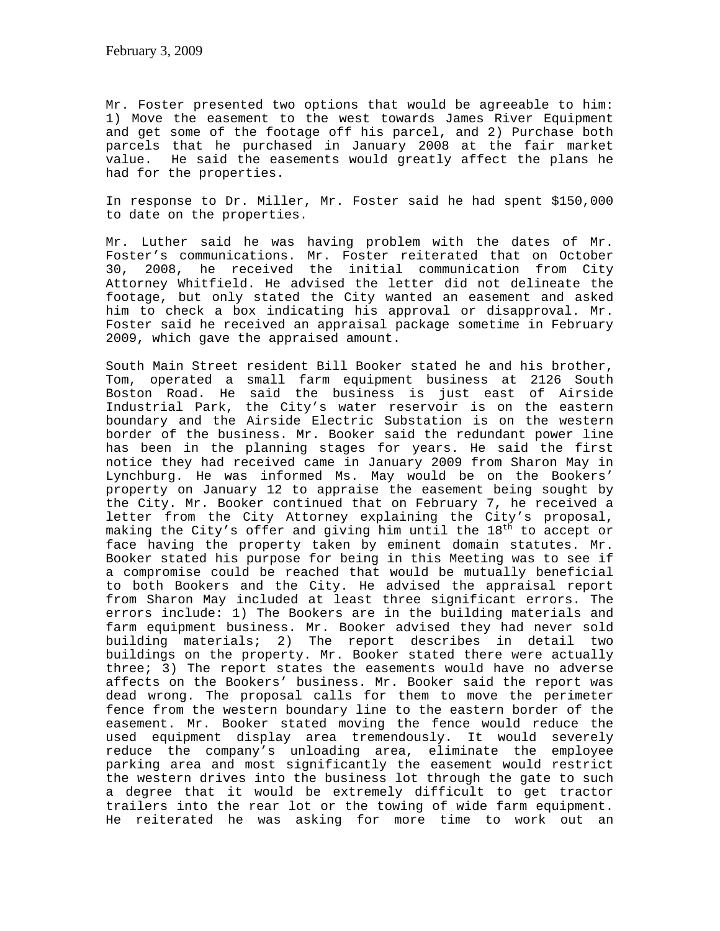Mr. Foster presented two options that would be agreeable to him: 1) Move the easement to the west towards James River Equipment and get some of the footage off his parcel, and 2) Purchase both parcels that he purchased in January 2008 at the fair market value. He said the easements would greatly affect the plans he had for the properties.

In response to Dr. Miller, Mr. Foster said he had spent \$150,000 to date on the properties.

Mr. Luther said he was having problem with the dates of Mr. Foster's communications. Mr. Foster reiterated that on October 30, 2008, he received the initial communication from City Attorney Whitfield. He advised the letter did not delineate the footage, but only stated the City wanted an easement and asked him to check a box indicating his approval or disapproval. Mr. Foster said he received an appraisal package sometime in February 2009, which gave the appraised amount.

South Main Street resident Bill Booker stated he and his brother, Tom, operated a small farm equipment business at 2126 South Boston Road. He said the business is just east of Airside Industrial Park, the City's water reservoir is on the eastern boundary and the Airside Electric Substation is on the western border of the business. Mr. Booker said the redundant power line has been in the planning stages for years. He said the first notice they had received came in January 2009 from Sharon May in Lynchburg. He was informed Ms. May would be on the Bookers' property on January 12 to appraise the easement being sought by the City. Mr. Booker continued that on February 7, he received a letter from the City Attorney explaining the City's proposal, making the City's offer and giving him until the  $18<sup>th</sup>$  to accept or face having the property taken by eminent domain statutes. Mr. Booker stated his purpose for being in this Meeting was to see if a compromise could be reached that would be mutually beneficial to both Bookers and the City. He advised the appraisal report from Sharon May included at least three significant errors. The errors include: 1) The Bookers are in the building materials and farm equipment business. Mr. Booker advised they had never sold building materials; 2) The report describes in detail two buildings on the property. Mr. Booker stated there were actually three; 3) The report states the easements would have no adverse affects on the Bookers' business. Mr. Booker said the report was dead wrong. The proposal calls for them to move the perimeter fence from the western boundary line to the eastern border of the easement. Mr. Booker stated moving the fence would reduce the used equipment display area tremendously. It would severely reduce the company's unloading area, eliminate the employee parking area and most significantly the easement would restrict the western drives into the business lot through the gate to such a degree that it would be extremely difficult to get tractor trailers into the rear lot or the towing of wide farm equipment. He reiterated he was asking for more time to work out an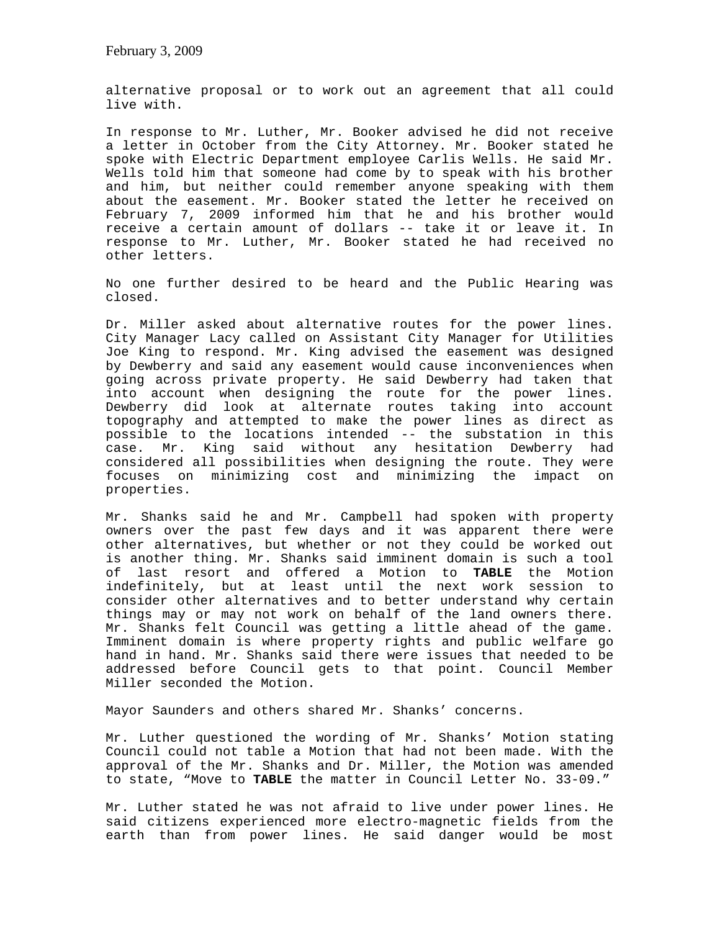alternative proposal or to work out an agreement that all could live with.

In response to Mr. Luther, Mr. Booker advised he did not receive a letter in October from the City Attorney. Mr. Booker stated he spoke with Electric Department employee Carlis Wells. He said Mr. Wells told him that someone had come by to speak with his brother and him, but neither could remember anyone speaking with them about the easement. Mr. Booker stated the letter he received on February 7, 2009 informed him that he and his brother would receive a certain amount of dollars -- take it or leave it. In response to Mr. Luther, Mr. Booker stated he had received no other letters.

No one further desired to be heard and the Public Hearing was closed.

Dr. Miller asked about alternative routes for the power lines. City Manager Lacy called on Assistant City Manager for Utilities Joe King to respond. Mr. King advised the easement was designed by Dewberry and said any easement would cause inconveniences when going across private property. He said Dewberry had taken that into account when designing the route for the power lines. Dewberry did look at alternate routes taking into account topography and attempted to make the power lines as direct as possible to the locations intended -- the substation in this case. Mr. King said without any hesitation Dewberry had considered all possibilities when designing the route. They were focuses on minimizing cost and minimizing the impact on properties.

Mr. Shanks said he and Mr. Campbell had spoken with property owners over the past few days and it was apparent there were other alternatives, but whether or not they could be worked out is another thing. Mr. Shanks said imminent domain is such a tool of last resort and offered a Motion to **TABLE** the Motion indefinitely, but at least until the next work session to consider other alternatives and to better understand why certain things may or may not work on behalf of the land owners there. Mr. Shanks felt Council was getting a little ahead of the game. Imminent domain is where property rights and public welfare go hand in hand. Mr. Shanks said there were issues that needed to be addressed before Council gets to that point. Council Member Miller seconded the Motion.

Mayor Saunders and others shared Mr. Shanks' concerns.

Mr. Luther questioned the wording of Mr. Shanks' Motion stating Council could not table a Motion that had not been made. With the approval of the Mr. Shanks and Dr. Miller, the Motion was amended to state, "Move to **TABLE** the matter in Council Letter No. 33-09."

Mr. Luther stated he was not afraid to live under power lines. He said citizens experienced more electro-magnetic fields from the earth than from power lines. He said danger would be most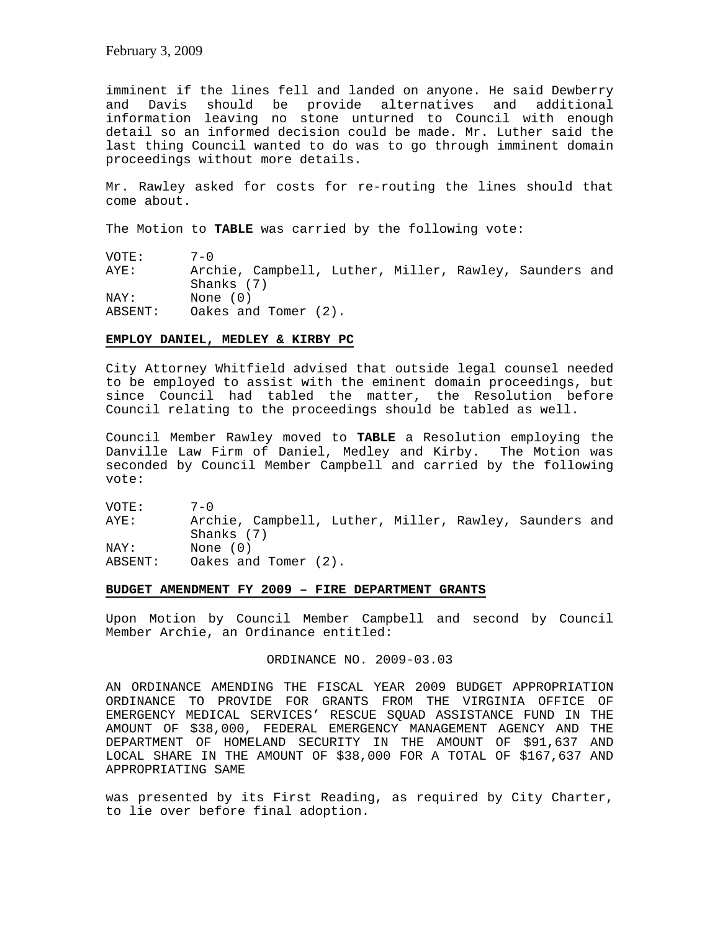imminent if the lines fell and landed on anyone. He said Dewberry and Davis should be provide alternatives and additional information leaving no stone unturned to Council with enough detail so an informed decision could be made. Mr. Luther said the last thing Council wanted to do was to go through imminent domain proceedings without more details.

Mr. Rawley asked for costs for re-routing the lines should that come about.

The Motion to **TABLE** was carried by the following vote:

VOTE: 7-0 AYE: Archie, Campbell, Luther, Miller, Rawley, Saunders and Shanks (7) NAY: None (0) ABSENT: Oakes and Tomer (2).

## **EMPLOY DANIEL, MEDLEY & KIRBY PC**

City Attorney Whitfield advised that outside legal counsel needed to be employed to assist with the eminent domain proceedings, but since Council had tabled the matter, the Resolution before Council relating to the proceedings should be tabled as well.

Council Member Rawley moved to **TABLE** a Resolution employing the Danville Law Firm of Daniel, Medley and Kirby. The Motion was seconded by Council Member Campbell and carried by the following vote:

VOTE: 7-0 AYE: Archie, Campbell, Luther, Miller, Rawley, Saunders and Shanks (7) NAY: None (0) ABSENT: Oakes and Tomer (2).

## **BUDGET AMENDMENT FY 2009 – FIRE DEPARTMENT GRANTS**

Upon Motion by Council Member Campbell and second by Council Member Archie, an Ordinance entitled:

## ORDINANCE NO. 2009-03.03

AN ORDINANCE AMENDING THE FISCAL YEAR 2009 BUDGET APPROPRIATION ORDINANCE TO PROVIDE FOR GRANTS FROM THE VIRGINIA OFFICE OF EMERGENCY MEDICAL SERVICES' RESCUE SQUAD ASSISTANCE FUND IN THE AMOUNT OF \$38,000, FEDERAL EMERGENCY MANAGEMENT AGENCY AND THE DEPARTMENT OF HOMELAND SECURITY IN THE AMOUNT OF \$91,637 AND LOCAL SHARE IN THE AMOUNT OF \$38,000 FOR A TOTAL OF \$167,637 AND APPROPRIATING SAME

was presented by its First Reading, as required by City Charter, to lie over before final adoption.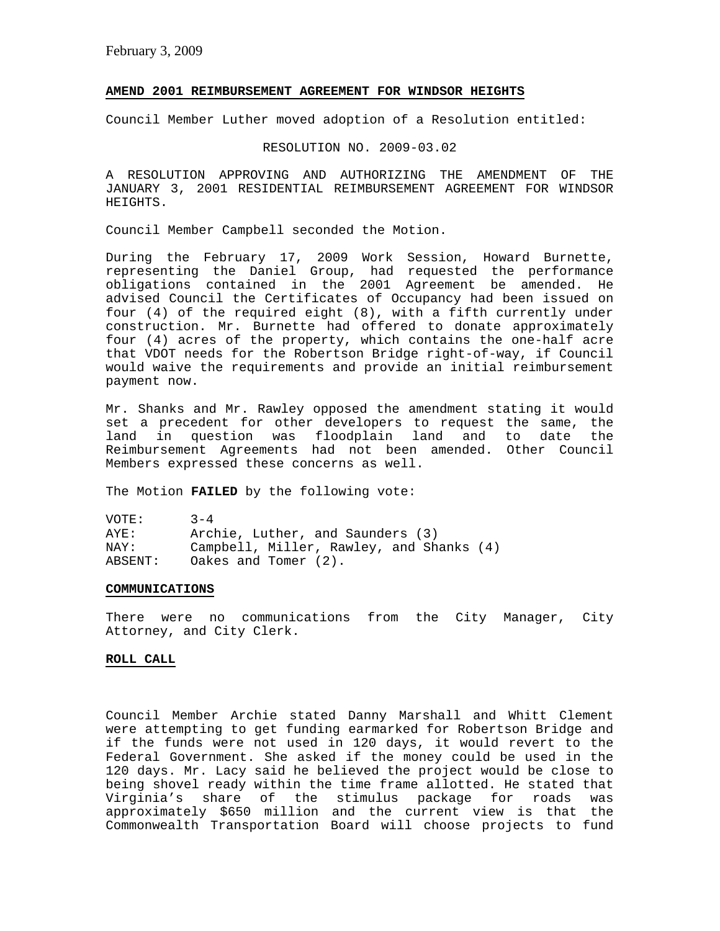## **AMEND 2001 REIMBURSEMENT AGREEMENT FOR WINDSOR HEIGHTS**

Council Member Luther moved adoption of a Resolution entitled:

RESOLUTION NO. 2009-03.02

A RESOLUTION APPROVING AND AUTHORIZING THE AMENDMENT OF THE JANUARY 3, 2001 RESIDENTIAL REIMBURSEMENT AGREEMENT FOR WINDSOR HEIGHTS.

Council Member Campbell seconded the Motion.

During the February 17, 2009 Work Session, Howard Burnette, representing the Daniel Group, had requested the performance obligations contained in the 2001 Agreement be amended. He advised Council the Certificates of Occupancy had been issued on four (4) of the required eight (8), with a fifth currently under construction. Mr. Burnette had offered to donate approximately four (4) acres of the property, which contains the one-half acre that VDOT needs for the Robertson Bridge right-of-way, if Council would waive the requirements and provide an initial reimbursement payment now.

Mr. Shanks and Mr. Rawley opposed the amendment stating it would set a precedent for other developers to request the same, the land in question was floodplain land and to date the Reimbursement Agreements had not been amended. Other Council Members expressed these concerns as well.

The Motion **FAILED** by the following vote:

| VOTE:   | $3 - 4$                                  |
|---------|------------------------------------------|
| AYE:    | Archie, Luther, and Saunders (3)         |
| NAY:    | Campbell, Miller, Rawley, and Shanks (4) |
| ABSENT: | Oakes and Tomer $(2)$ .                  |

#### **COMMUNICATIONS**

There were no communications from the City Manager, City Attorney, and City Clerk.

# **ROLL CALL**

Council Member Archie stated Danny Marshall and Whitt Clement were attempting to get funding earmarked for Robertson Bridge and if the funds were not used in 120 days, it would revert to the Federal Government. She asked if the money could be used in the 120 days. Mr. Lacy said he believed the project would be close to being shovel ready within the time frame allotted. He stated that Virginia's share of the stimulus package for roads was approximately \$650 million and the current view is that the Commonwealth Transportation Board will choose projects to fund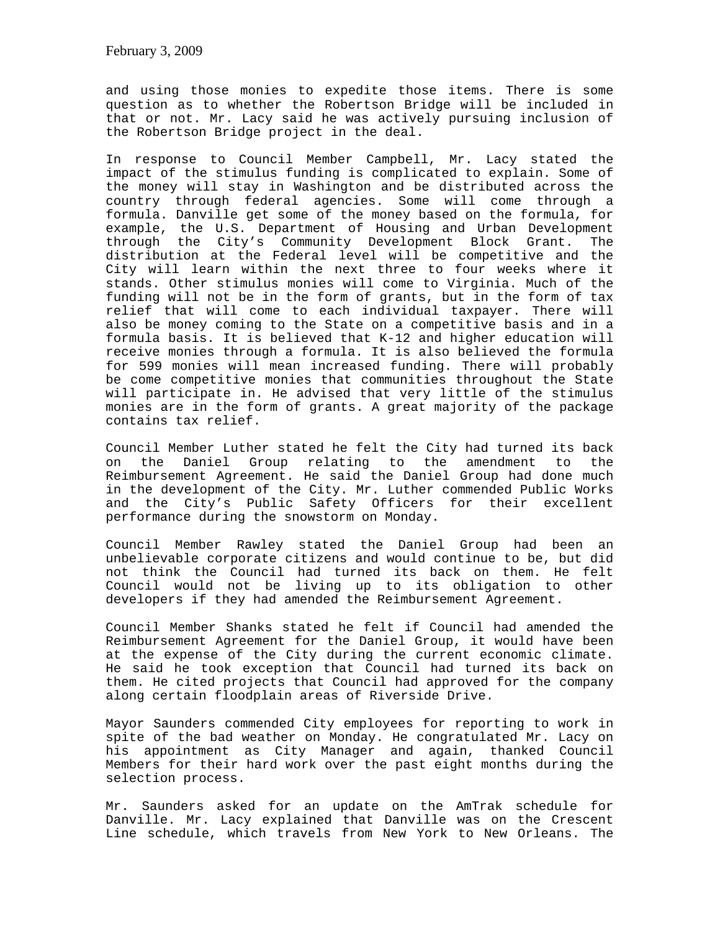and using those monies to expedite those items. There is some question as to whether the Robertson Bridge will be included in that or not. Mr. Lacy said he was actively pursuing inclusion of the Robertson Bridge project in the deal.

In response to Council Member Campbell, Mr. Lacy stated the impact of the stimulus funding is complicated to explain. Some of the money will stay in Washington and be distributed across the country through federal agencies. Some will come through a formula. Danville get some of the money based on the formula, for example, the U.S. Department of Housing and Urban Development through the City's Community Development Block Grant. The distribution at the Federal level will be competitive and the City will learn within the next three to four weeks where it stands. Other stimulus monies will come to Virginia. Much of the funding will not be in the form of grants, but in the form of tax relief that will come to each individual taxpayer. There will also be money coming to the State on a competitive basis and in a formula basis. It is believed that K-12 and higher education will receive monies through a formula. It is also believed the formula for 599 monies will mean increased funding. There will probably be come competitive monies that communities throughout the State will participate in. He advised that very little of the stimulus monies are in the form of grants. A great majority of the package contains tax relief.

Council Member Luther stated he felt the City had turned its back on the Daniel Group relating to the amendment to the Reimbursement Agreement. He said the Daniel Group had done much in the development of the City. Mr. Luther commended Public Works and the City's Public Safety Officers for their excellent performance during the snowstorm on Monday.

Council Member Rawley stated the Daniel Group had been an unbelievable corporate citizens and would continue to be, but did not think the Council had turned its back on them. He felt Council would not be living up to its obligation to other developers if they had amended the Reimbursement Agreement.

Council Member Shanks stated he felt if Council had amended the Reimbursement Agreement for the Daniel Group, it would have been at the expense of the City during the current economic climate. He said he took exception that Council had turned its back on them. He cited projects that Council had approved for the company along certain floodplain areas of Riverside Drive.

Mayor Saunders commended City employees for reporting to work in spite of the bad weather on Monday. He congratulated Mr. Lacy on his appointment as City Manager and again, thanked Council Members for their hard work over the past eight months during the selection process.

Mr. Saunders asked for an update on the AmTrak schedule for Danville. Mr. Lacy explained that Danville was on the Crescent Line schedule, which travels from New York to New Orleans. The